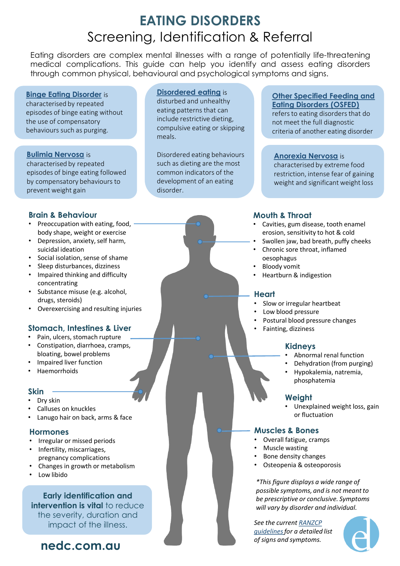# **EATING DISORDERS** Screening, Identification & Referral

Eating disorders are complex mental illnesses with a range of potentially life-threatening medical complications. This guide can help you identify and assess eating disorders through common physical, behavioural and psychological symptoms and signs.

#### **[Binge Eating Disorder](https://www.nedc.com.au/eating-disorders/eating-disorders-explained/types/binge-eating-disorder/)** is

characterised by repeated episodes of binge eating without the use of compensatory behaviours such as purging.

#### **[Bulimia Nervosa](https://www.nedc.com.au/eating-disorders/eating-disorders-explained/types/bulimia-nervosa/)** is

characterised by repeated episodes of binge eating followed by compensatory behaviours to prevent weight gain

#### **Brain & Behaviour**

- Preoccupation with eating, food, body shape, weight or exercise
- Depression, anxiety, self harm, suicidal ideation
- Social isolation, sense of shame
- Sleep disturbances, dizziness
- Impaired thinking and difficulty concentrating
- Substance misuse (e.g. alcohol, drugs, steroids)
- Overexercising and resulting injuries

# **Stomach, Intestines & Liver • Fainting, dizziness**

- Pain, ulcers, stomach rupture
- Constipation, diarrhoea, cramps, bloating, bowel problems
- Impaired liver function
- Haemorrhoids

# **Skin**

- Dry skin
- Calluses on knuckles
- Lanugo hair on back, arms & face

#### **Hormones**

- Irregular or missed periods
- Infertility, miscarriages, pregnancy complications
- Changes in growth or metabolism
- Low libido

**Early identification and intervention is vital** to reduce the severity, duration and impact of the illness.

# **nedc.com.au**

#### **[Disordered eating](https://www.nedc.com.au/eating-disorders/eating-disorders-explained/disordered-eating-and-dieting/)** is

disturbed and unhealthy eating patterns that can include restrictive dieting, compulsive eating or skipping meals.

Disordered eating behaviours such as dieting are the most common indicators of the development of an eating disorder.

#### **[Other Specified Feeding and](https://www.nedc.com.au/eating-disorders/eating-disorders-explained/types/other-specified-feeding-or-eating-disorders/)  Eating Disorders (OSFED)** refers to eating disorders that do not meet the full diagnostic criteria of another eating disorder

#### **[Anorexia Nervosa](https://www.nedc.com.au/eating-disorders/eating-disorders-explained/types/anorexia-nervosa/)** is

characterised by extreme food restriction, intense fear of gaining weight and significant weight loss

# **Mouth & Throat**

- Cavities, gum disease, tooth enamel erosion, sensitivity to hot & cold
- Swollen jaw, bad breath, puffy cheeks
- Chronic sore throat, inflamed oesophagus
- Bloody vomit
- Heartburn & indigestion

#### **Heart**

- Slow or irregular heartbeat
- Low blood pressure
- Postural blood pressure changes
	-

#### **Kidneys**

- Abnormal renal function
- Dehydration (from purging)
- Hypokalemia, natremia, phosphatemia

# **Weight**

• Unexplained weight loss, gain or fluctuation

# **Muscles & Bones**

- Overall fatigue, cramps
- Muscle wasting
- Bone density changes
- Osteopenia & osteoporosis

*\*This figure displays a wide range of possible symptoms, and is not meant to be prescriptive or conclusive. Symptoms will vary by disorder and individual.* 

*See the current RANZCP [guidelines for a detailed](https://www.ranzcp.org/files/resources/publications/cpg/clinician/eating-disorders-cpg.aspx) list of signs and symptoms.*